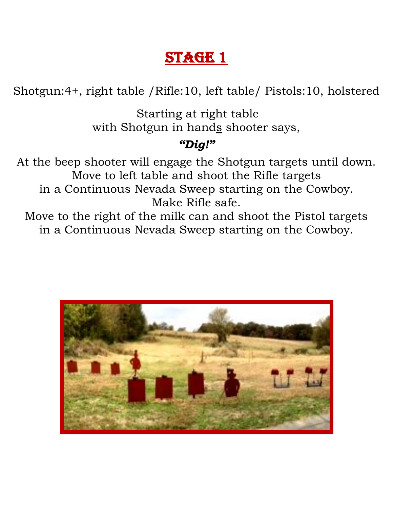Shotgun:4+, right table /Rifle:10, left table/ Pistols:10, holstered

Starting at right table with Shotgun in hands shooter says,

### *"Dig!"*

At the beep shooter will engage the Shotgun targets until down. Move to left table and shoot the Rifle targets in a Continuous Nevada Sweep starting on the Cowboy. Make Rifle safe.

Move to the right of the milk can and shoot the Pistol targets in a Continuous Nevada Sweep starting on the Cowboy.

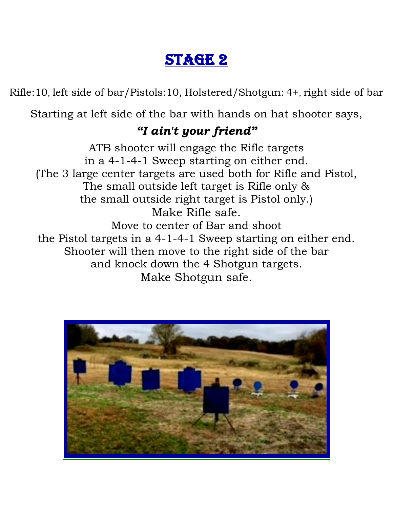Rifle:10, left side of bar/Pistols:10, Holstered/Shotgun: 4+, right side of bar

Starting at left side of the bar with hands on hat shooter says,

### *"I ain't your friend"*

ATB shooter will engage the Rifle targets in a 4-1-4-1 Sweep starting on either end. (The 3 large center targets are used both for Rifle and Pistol, The small outside left target is Rifle only & the small outside right target is Pistol only.) Make Rifle safe. Move to center of Bar and shoot the Pistol targets in a 4-1-4-1 Sweep starting on either end. Shooter will then move to the right side of the bar and knock down the 4 Shotgun targets. Make Shotgun safe.

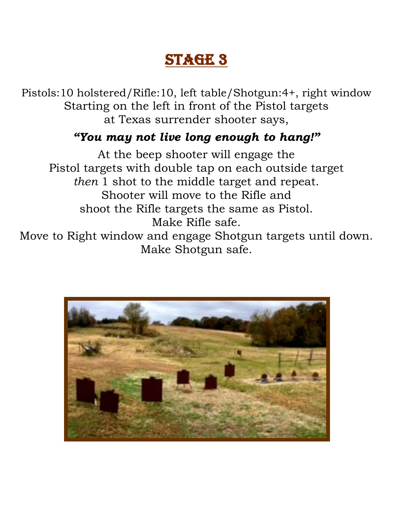Pistols:10 holstered/Rifle:10, left table/Shotgun:4+, right window Starting on the left in front of the Pistol targets at Texas surrender shooter says,

### *"You may not live long enough to hang!"*

At the beep shooter will engage the Pistol targets with double tap on each outside target *then* 1 shot to the middle target and repeat. Shooter will move to the Rifle and shoot the Rifle targets the same as Pistol. Make Rifle safe.

Move to Right window and engage Shotgun targets until down. Make Shotgun safe.

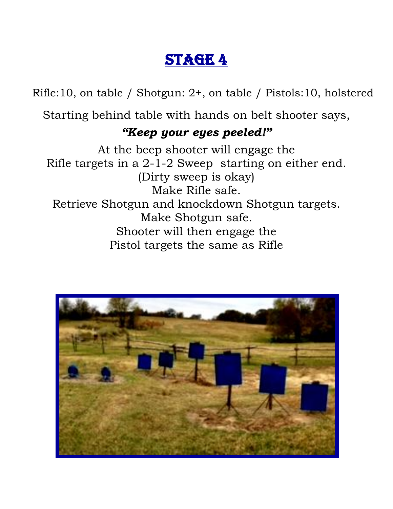Rifle:10, on table / Shotgun: 2+, on table / Pistols:10, holstered

Starting behind table with hands on belt shooter says,

#### *"Keep your eyes peeled!"*

At the beep shooter will engage the Rifle targets in a 2-1-2 Sweep starting on either end. (Dirty sweep is okay) Make Rifle safe. Retrieve Shotgun and knockdown Shotgun targets. Make Shotgun safe. Shooter will then engage the Pistol targets the same as Rifle

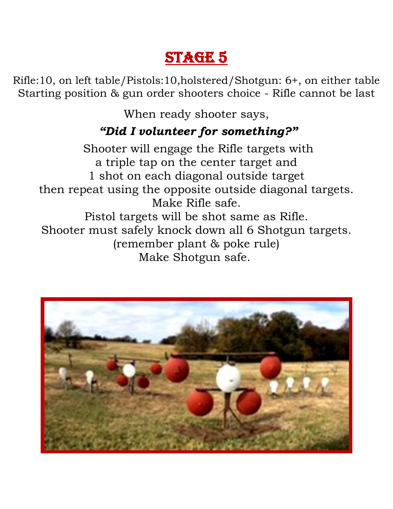Rifle:10, on left table/Pistols:10,holstered/Shotgun: 6+, on either table Starting position & gun order shooters choice - Rifle cannot be last

When ready shooter says,

### *"Did I volunteer for something?"*

Shooter will engage the Rifle targets with a triple tap on the center target and 1 shot on each diagonal outside target then repeat using the opposite outside diagonal targets. Make Rifle safe. Pistol targets will be shot same as Rifle. Shooter must safely knock down all 6 Shotgun targets. (remember plant & poke rule) Make Shotgun safe.